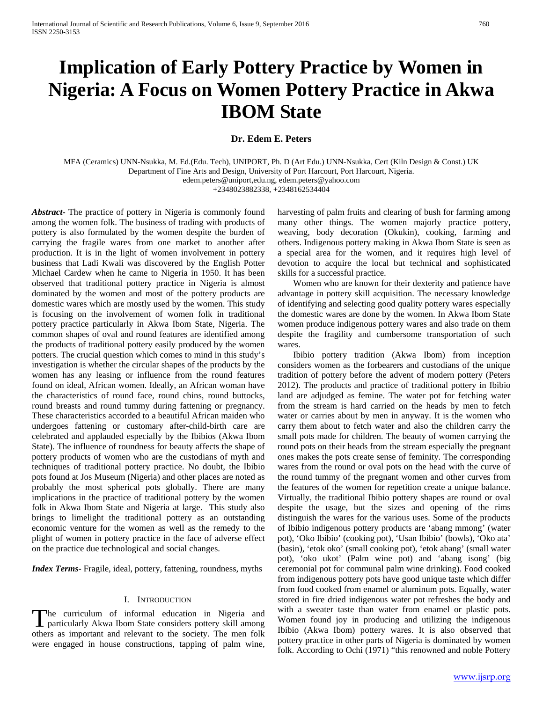# **Implication of Early Pottery Practice by Women in Nigeria: A Focus on Women Pottery Practice in Akwa IBOM State**

# **Dr. Edem E. Peters**

MFA (Ceramics) UNN-Nsukka, M. Ed.(Edu. Tech), UNIPORT, Ph. D (Art Edu.) UNN-Nsukka, Cert (Kiln Design & Const.) UK Department of Fine Arts and Design, University of Port Harcourt, Port Harcourt, Nigeria. edem.peters@uniport,edu.ng, edem.peters@yahoo.com

+2348023882338, +2348162534404

*Abstract***-** The practice of pottery in Nigeria is commonly found among the women folk. The business of trading with products of pottery is also formulated by the women despite the burden of carrying the fragile wares from one market to another after production. It is in the light of women involvement in pottery business that Ladi Kwali was discovered by the English Potter Michael Cardew when he came to Nigeria in 1950. It has been observed that traditional pottery practice in Nigeria is almost dominated by the women and most of the pottery products are domestic wares which are mostly used by the women. This study is focusing on the involvement of women folk in traditional pottery practice particularly in Akwa Ibom State, Nigeria. The common shapes of oval and round features are identified among the products of traditional pottery easily produced by the women potters. The crucial question which comes to mind in this study's investigation is whether the circular shapes of the products by the women has any leasing or influence from the round features found on ideal, African women. Ideally, an African woman have the characteristics of round face, round chins, round buttocks, round breasts and round tummy during fattening or pregnancy. These characteristics accorded to a beautiful African maiden who undergoes fattening or customary after-child-birth care are celebrated and applauded especially by the Ibibios (Akwa Ibom State). The influence of roundness for beauty affects the shape of pottery products of women who are the custodians of myth and techniques of traditional pottery practice. No doubt, the Ibibio pots found at Jos Museum (Nigeria) and other places are noted as probably the most spherical pots globally. There are many implications in the practice of traditional pottery by the women folk in Akwa Ibom State and Nigeria at large. This study also brings to limelight the traditional pottery as an outstanding economic venture for the women as well as the remedy to the plight of women in pottery practice in the face of adverse effect on the practice due technological and social changes.

*Index Terms*- Fragile, ideal, pottery, fattening, roundness, myths

### I. INTRODUCTION

he curriculum of informal education in Nigeria and The curriculum of informal education in Nigeria and particularly Akwa Ibom State considers pottery skill among others as important and relevant to the society. The men folk were engaged in house constructions, tapping of palm wine,

harvesting of palm fruits and clearing of bush for farming among many other things. The women majorly practice pottery, weaving, body decoration (Okukin), cooking, farming and others. Indigenous pottery making in Akwa Ibom State is seen as a special area for the women, and it requires high level of devotion to acquire the local but technical and sophisticated skills for a successful practice.

 Women who are known for their dexterity and patience have advantage in pottery skill acquisition. The necessary knowledge of identifying and selecting good quality pottery wares especially the domestic wares are done by the women. In Akwa Ibom State women produce indigenous pottery wares and also trade on them despite the fragility and cumbersome transportation of such wares.

 Ibibio pottery tradition (Akwa Ibom) from inception considers women as the forbearers and custodians of the unique tradition of pottery before the advent of modern pottery (Peters 2012). The products and practice of traditional pottery in Ibibio land are adjudged as femine. The water pot for fetching water from the stream is hard carried on the heads by men to fetch water or carries about by men in anyway. It is the women who carry them about to fetch water and also the children carry the small pots made for children. The beauty of women carrying the round pots on their heads from the stream especially the pregnant ones makes the pots create sense of feminity. The corresponding wares from the round or oval pots on the head with the curve of the round tummy of the pregnant women and other curves from the features of the women for repetition create a unique balance. Virtually, the traditional Ibibio pottery shapes are round or oval despite the usage, but the sizes and opening of the rims distinguish the wares for the various uses. Some of the products of Ibibio indigenous pottery products are 'abang mmong' (water pot), 'Oko Ibibio' (cooking pot), 'Usan Ibibio' (bowls), 'Oko ata' (basin), 'etok oko' (small cooking pot), 'etok abang' (small water pot), 'oko ukot' (Palm wine pot) and 'abang isong' (big ceremonial pot for communal palm wine drinking). Food cooked from indigenous pottery pots have good unique taste which differ from food cooked from enamel or aluminum pots. Equally, water stored in fire dried indigenous water pot refreshes the body and with a sweater taste than water from enamel or plastic pots. Women found joy in producing and utilizing the indigenous Ibibio (Akwa Ibom) pottery wares. It is also observed that pottery practice in other parts of Nigeria is dominated by women folk. According to Ochi (1971) "this renowned and noble Pottery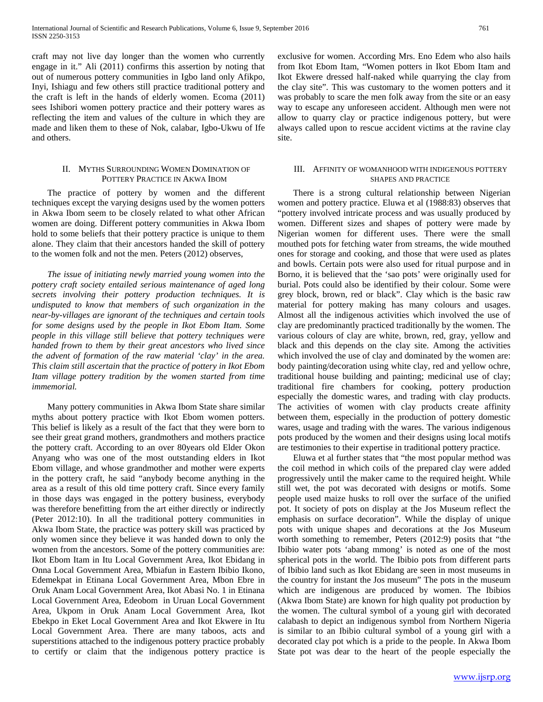craft may not live day longer than the women who currently engage in it." Ali (2011) confirms this assertion by noting that out of numerous pottery communities in Igbo land only Afikpo, Inyi, Ishiagu and few others still practice traditional pottery and the craft is left in the hands of elderly women. Ecoma (2011) sees Ishibori women pottery practice and their pottery wares as reflecting the item and values of the culture in which they are made and liken them to these of Nok, calabar, Igbo-Ukwu of Ife and others.

# II. MYTHS SURROUNDING WOMEN DOMINATION OF POTTERY PRACTICE IN AKWA IBOM

 The practice of pottery by women and the different techniques except the varying designs used by the women potters in Akwa Ibom seem to be closely related to what other African women are doing. Different pottery communities in Akwa Ibom hold to some beliefs that their pottery practice is unique to them alone. They claim that their ancestors handed the skill of pottery to the women folk and not the men. Peters (2012) observes,

 *The issue of initiating newly married young women into the pottery craft society entailed serious maintenance of aged long secrets involving their pottery production techniques. It is undisputed to know that members of such organization in the near-by-villages are ignorant of the techniques and certain tools for some designs used by the people in Ikot Ebom Itam. Some people in this village still believe that pottery techniques were handed frown to them by their great ancestors who lived since the advent of formation of the raw material 'clay' in the area. This claim still ascertain that the practice of pottery in Ikot Ebom Itam village pottery tradition by the women started from time immemorial.*

 Many pottery communities in Akwa Ibom State share similar myths about pottery practice with Ikot Ebom women potters. This belief is likely as a result of the fact that they were born to see their great grand mothers, grandmothers and mothers practice the pottery craft. According to an over 80years old Elder Okon Anyang who was one of the most outstanding elders in Ikot Ebom village, and whose grandmother and mother were experts in the pottery craft, he said "anybody become anything in the area as a result of this old time pottery craft. Since every family in those days was engaged in the pottery business, everybody was therefore benefitting from the art either directly or indirectly (Peter 2012:10). In all the traditional pottery communities in Akwa Ibom State, the practice was pottery skill was practiced by only women since they believe it was handed down to only the women from the ancestors. Some of the pottery communities are: Ikot Ebom Itam in Itu Local Government Area, Ikot Ebidang in Onna Local Government Area, Mbiafun in Eastern Ibibio Ikono, Edemekpat in Etinana Local Government Area, Mbon Ebre in Oruk Anam Local Government Area, Ikot Abasi No. 1 in Etinana Local Government Area, Edeobom in Uruan Local Government Area, Ukpom in Oruk Anam Local Government Area, Ikot Ebekpo in Eket Local Government Area and Ikot Ekwere in Itu Local Government Area. There are many taboos, acts and superstitions attached to the indigenous pottery practice probably to certify or claim that the indigenous pottery practice is exclusive for women. According Mrs. Eno Edem who also hails from Ikot Ebom Itam, "Women potters in Ikot Ebom Itam and Ikot Ekwere dressed half-naked while quarrying the clay from the clay site". This was customary to the women potters and it was probably to scare the men folk away from the site or an easy way to escape any unforeseen accident. Although men were not allow to quarry clay or practice indigenous pottery, but were always called upon to rescue accident victims at the ravine clay site.

# III. AFFINITY OF WOMANHOOD WITH INDIGENOUS POTTERY SHAPES AND PRACTICE

 There is a strong cultural relationship between Nigerian women and pottery practice. Eluwa et al (1988:83) observes that "pottery involved intricate process and was usually produced by women. Different sizes and shapes of pottery were made by Nigerian women for different uses. There were the small mouthed pots for fetching water from streams, the wide mouthed ones for storage and cooking, and those that were used as plates and bowls. Certain pots were also used for ritual purpose and in Borno, it is believed that the 'sao pots' were originally used for burial. Pots could also be identified by their colour. Some were grey block, brown, red or black". Clay which is the basic raw material for pottery making has many colours and usages. Almost all the indigenous activities which involved the use of clay are predominantly practiced traditionally by the women. The various colours of clay are white, brown, red, gray, yellow and black and this depends on the clay site. Among the activities which involved the use of clay and dominated by the women are: body painting/decoration using white clay, red and yellow ochre, traditional house building and painting; medicinal use of clay; traditional fire chambers for cooking, pottery production especially the domestic wares, and trading with clay products. The activities of women with clay products create affinity between them, especially in the production of pottery domestic wares, usage and trading with the wares. The various indigenous pots produced by the women and their designs using local motifs are testimonies to their expertise in traditional pottery practice.

 Eluwa et al further states that "the most popular method was the coil method in which coils of the prepared clay were added progressively until the maker came to the required height. While still wet, the pot was decorated with designs or motifs. Some people used maize husks to roll over the surface of the unified pot. It society of pots on display at the Jos Museum reflect the emphasis on surface decoration". While the display of unique pots with unique shapes and decorations at the Jos Museum worth something to remember, Peters (2012:9) posits that "the Ibibio water pots 'abang mmong' is noted as one of the most spherical pots in the world. The Ibibio pots from different parts of Ibibio land such as Ikot Ebidang are seen in most museums in the country for instant the Jos museum" The pots in the museum which are indigenous are produced by women. The Ibibios (Akwa Ibom State) are known for high quality pot production by the women. The cultural symbol of a young girl with decorated calabash to depict an indigenous symbol from Northern Nigeria is similar to an Ibibio cultural symbol of a young girl with a decorated clay pot which is a pride to the people. In Akwa Ibom State pot was dear to the heart of the people especially the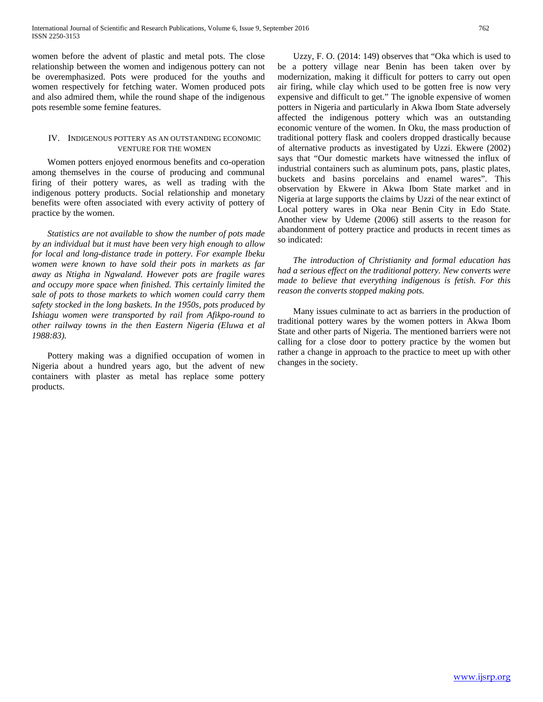women before the advent of plastic and metal pots. The close relationship between the women and indigenous pottery can not be overemphasized. Pots were produced for the youths and women respectively for fetching water. Women produced pots and also admired them, while the round shape of the indigenous pots resemble some femine features.

## IV. INDIGENOUS POTTERY AS AN OUTSTANDING ECONOMIC VENTURE FOR THE WOMEN

 Women potters enjoyed enormous benefits and co-operation among themselves in the course of producing and communal firing of their pottery wares, as well as trading with the indigenous pottery products. Social relationship and monetary benefits were often associated with every activity of pottery of practice by the women.

 *Statistics are not available to show the number of pots made by an individual but it must have been very high enough to allow for local and long-distance trade in pottery. For example Ibeku women were known to have sold their pots in markets as far away as Ntigha in Ngwaland. However pots are fragile wares and occupy more space when finished. This certainly limited the sale of pots to those markets to which women could carry them safety stocked in the long baskets. In the 1950s, pots produced by Ishiagu women were transported by rail from Afikpo-round to other railway towns in the then Eastern Nigeria (Eluwa et al 1988:83).*

 Pottery making was a dignified occupation of women in Nigeria about a hundred years ago, but the advent of new containers with plaster as metal has replace some pottery products.

 Uzzy, F. O. (2014: 149) observes that "Oka which is used to be a pottery village near Benin has been taken over by modernization, making it difficult for potters to carry out open air firing, while clay which used to be gotten free is now very expensive and difficult to get." The ignoble expensive of women potters in Nigeria and particularly in Akwa Ibom State adversely affected the indigenous pottery which was an outstanding economic venture of the women. In Oku, the mass production of traditional pottery flask and coolers dropped drastically because of alternative products as investigated by Uzzi. Ekwere (2002) says that "Our domestic markets have witnessed the influx of industrial containers such as aluminum pots, pans, plastic plates, buckets and basins porcelains and enamel wares". This observation by Ekwere in Akwa Ibom State market and in Nigeria at large supports the claims by Uzzi of the near extinct of Local pottery wares in Oka near Benin City in Edo State. Another view by Udeme (2006) still asserts to the reason for abandonment of pottery practice and products in recent times as so indicated:

 *The introduction of Christianity and formal education has had a serious effect on the traditional pottery. New converts were made to believe that everything indigenous is fetish. For this reason the converts stopped making pots.*

 Many issues culminate to act as barriers in the production of traditional pottery wares by the women potters in Akwa Ibom State and other parts of Nigeria. The mentioned barriers were not calling for a close door to pottery practice by the women but rather a change in approach to the practice to meet up with other changes in the society.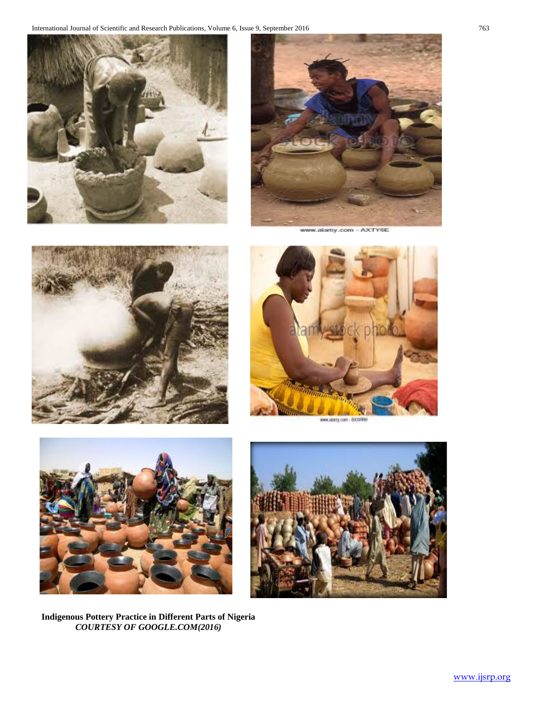



www.alamy.com - AXTY6E





www.alariy.com - BX3099H



**Indigenous Pottery Practice in Different Parts of Nigeria** *COURTESY OF GOOGLE.COM(2016)*